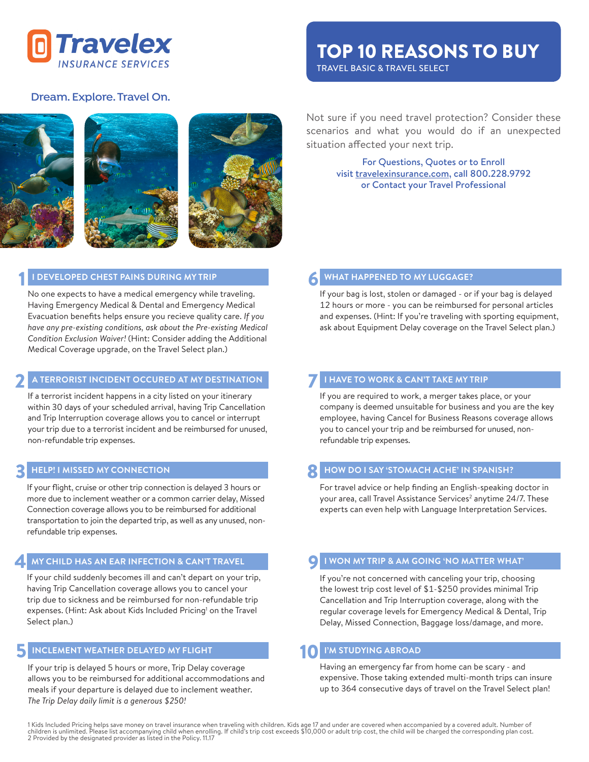

# TOP 10 REASONS TO BUY

TRAVEL BASIC & TRAVEL SELECT

## **Dream. Explore. Travel On.**



### **I DEVELOPED CHEST PAINS DURING MY TRIP**

1

No one expects to have a medical emergency while traveling. Having Emergency Medical & Dental and Emergency Medical Evacuation benefits helps ensure you recieve quality care. *If you have any pre-existing conditions, ask about the Pre-existing Medical Condition Exclusion Waiver!* (Hint: Consider adding the Additional Medical Coverage upgrade, on the Travel Select plan.)

#### 2 **A TERRORIST INCIDENT OCCURED AT MY DESTINATION**

If a terrorist incident happens in a city listed on your itinerary within 30 days of your scheduled arrival, having Trip Cancellation and Trip Interruption coverage allows you to cancel or interrupt your trip due to a terrorist incident and be reimbursed for unused, non-refundable trip expenses.

#### 3 **HELP! I MISSED MY CONNECTION**

If your flight, cruise or other trip connection is delayed 3 hours or more due to inclement weather or a common carrier delay, Missed Connection coverage allows you to be reimbursed for additional transportation to join the departed trip, as well as any unused, nonrefundable trip expenses.

#### 4 **MY CHILD HAS AN EAR INFECTION & CAN'T TRAVEL**

If your child suddenly becomes ill and can't depart on your trip, having Trip Cancellation coverage allows you to cancel your trip due to sickness and be reimbursed for non-refundable trip expenses. (Hint: Ask about Kids Included Pricing<sup>1</sup> on the Travel Select plan.)

#### **INCLEMENT WEATHER DELAYED MY FLIGHT** 5

If your trip is delayed 5 hours or more, Trip Delay coverage allows you to be reimbursed for additional accommodations and meals if your departure is delayed due to inclement weather. *The Trip Delay daily limit is a generous \$250!*

Not sure if you need travel protection? Consider these scenarios and what you would do if an unexpected situation affected your next trip.

> For Questions, Quotes or to Enroll visit travelexinsurance.com, call 800.228.9792 or Contact your Travel Professional

#### **WHAT HAPPENED TO MY LUGGAGE?**  6

If your bag is lost, stolen or damaged - or if your bag is delayed 12 hours or more - you can be reimbursed for personal articles and expenses. (Hint: If you're traveling with sporting equipment, ask about Equipment Delay coverage on the Travel Select plan.)

#### 7 **I HAVE TO WORK & CAN'T TAKE MY TRIP**

If you are required to work, a merger takes place, or your company is deemed unsuitable for business and you are the key employee, having Cancel for Business Reasons coverage allows you to cancel your trip and be reimbursed for unused, nonrefundable trip expenses.

#### 8 **HOW DO I SAY 'STOMACH ACHE' IN SPANISH?**

For travel advice or help finding an English-speaking doctor in your area, call Travel Assistance Services<sup>2</sup> anytime 24/7. These experts can even help with Language Interpretation Services.

#### **I WON MY TRIP & AM GOING 'NO MATTER WHAT'** 9

If you're not concerned with canceling your trip, choosing the lowest trip cost level of \$1-\$250 provides minimal Trip Cancellation and Trip Interruption coverage, along with the regular coverage levels for Emergency Medical & Dental, Trip Delay, Missed Connection, Baggage loss/damage, and more.

#### **I'M STUDYING ABROAD** 10

Having an emergency far from home can be scary - and expensive. Those taking extended multi-month trips can insure up to 364 consecutive days of travel on the Travel Select plan!

1 Kids Included Pricing helps save money on travel insurance when traveling with children. Kids age 17 and under are covered when accompanied by a covered adult. Number of<br>children is unlimited. Please list accompanying ch 2 Provided by the designated provider as listed in the Policy. 11.17